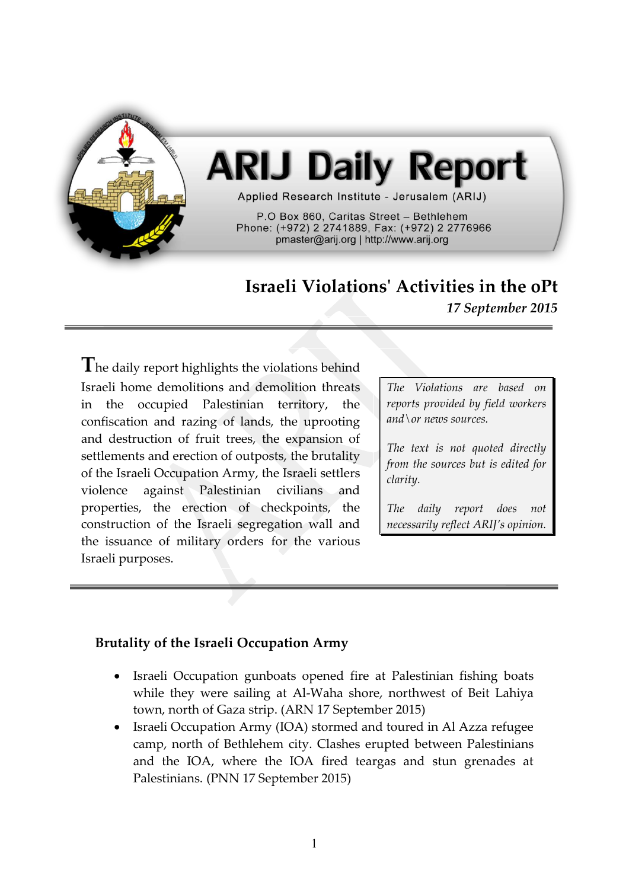

# **ARIJ Daily Report**

Applied Research Institute - Jerusalem (ARIJ)

P.O Box 860. Caritas Street - Bethlehem Phone: (+972) 2 2741889, Fax: (+972) 2 2776966 pmaster@arij.org | http://www.arij.org

# **Israeli Violations' Activities in the oPt**

*17 September 2015*

**T**he daily report highlights the violations behind Israeli home demolitions and demolition threats in the occupied Palestinian territory, the confiscation and razing of lands, the uprooting and destruction of fruit trees, the expansion of settlements and erection of outposts, the brutality of the Israeli Occupation Army, the Israeli settlers violence against Palestinian civilians and properties, the erection of checkpoints, the construction of the Israeli segregation wall and the issuance of military orders for the various Israeli purposes.

*The Violations are based on reports provided by field workers and\or news sources.*

*The text is not quoted directly from the sources but is edited for clarity.*

*The daily report does not necessarily reflect ARIJ's opinion.*

## **Brutality of the Israeli Occupation Army**

- Israeli Occupation gunboats opened fire at Palestinian fishing boats while they were sailing at Al-Waha shore, northwest of Beit Lahiya town, north of Gaza strip. (ARN 17 September 2015)
- Israeli Occupation Army (IOA) stormed and toured in Al Azza refugee camp, north of Bethlehem city. Clashes erupted between Palestinians and the IOA, where the IOA fired teargas and stun grenades at Palestinians. (PNN 17 September 2015)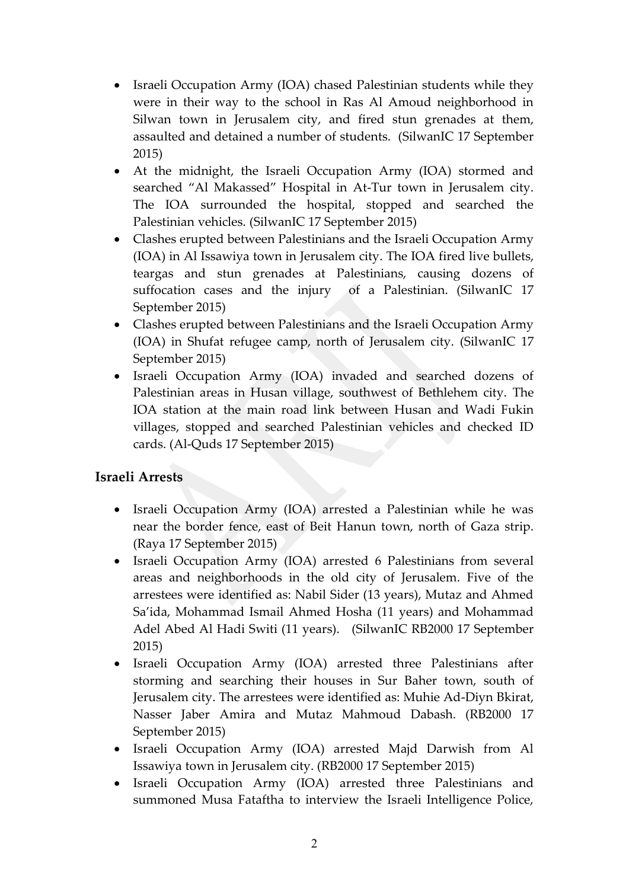- Israeli Occupation Army (IOA) chased Palestinian students while they were in their way to the school in Ras Al Amoud neighborhood in Silwan town in Jerusalem city, and fired stun grenades at them, assaulted and detained a number of students. (SilwanIC 17 September 2015)
- At the midnight, the Israeli Occupation Army (IOA) stormed and searched "Al Makassed" Hospital in At-Tur town in Jerusalem city. The IOA surrounded the hospital, stopped and searched the Palestinian vehicles. (SilwanIC 17 September 2015)
- Clashes erupted between Palestinians and the Israeli Occupation Army (IOA) in Al Issawiya town in Jerusalem city. The IOA fired live bullets, teargas and stun grenades at Palestinians, causing dozens of suffocation cases and the injury of a Palestinian. (SilwanIC 17 September 2015)
- Clashes erupted between Palestinians and the Israeli Occupation Army (IOA) in Shufat refugee camp, north of Jerusalem city. (SilwanIC 17 September 2015)
- Israeli Occupation Army (IOA) invaded and searched dozens of Palestinian areas in Husan village, southwest of Bethlehem city. The IOA station at the main road link between Husan and Wadi Fukin villages, stopped and searched Palestinian vehicles and checked ID cards. (Al-Quds 17 September 2015)

## **Israeli Arrests**

- Israeli Occupation Army (IOA) arrested a Palestinian while he was near the border fence, east of Beit Hanun town, north of Gaza strip. (Raya 17 September 2015)
- Israeli Occupation Army (IOA) arrested 6 Palestinians from several areas and neighborhoods in the old city of Jerusalem. Five of the arrestees were identified as: Nabil Sider (13 years), Mutaz and Ahmed Sa'ida, Mohammad Ismail Ahmed Hosha (11 years) and Mohammad Adel Abed Al Hadi Switi (11 years). (SilwanIC RB2000 17 September 2015)
- Israeli Occupation Army (IOA) arrested three Palestinians after storming and searching their houses in Sur Baher town, south of Jerusalem city. The arrestees were identified as: Muhie Ad-Diyn Bkirat, Nasser Jaber Amira and Mutaz Mahmoud Dabash. (RB2000 17 September 2015)
- Israeli Occupation Army (IOA) arrested Majd Darwish from Al Issawiya town in Jerusalem city. (RB2000 17 September 2015)
- Israeli Occupation Army (IOA) arrested three Palestinians and summoned Musa Fataftha to interview the Israeli Intelligence Police,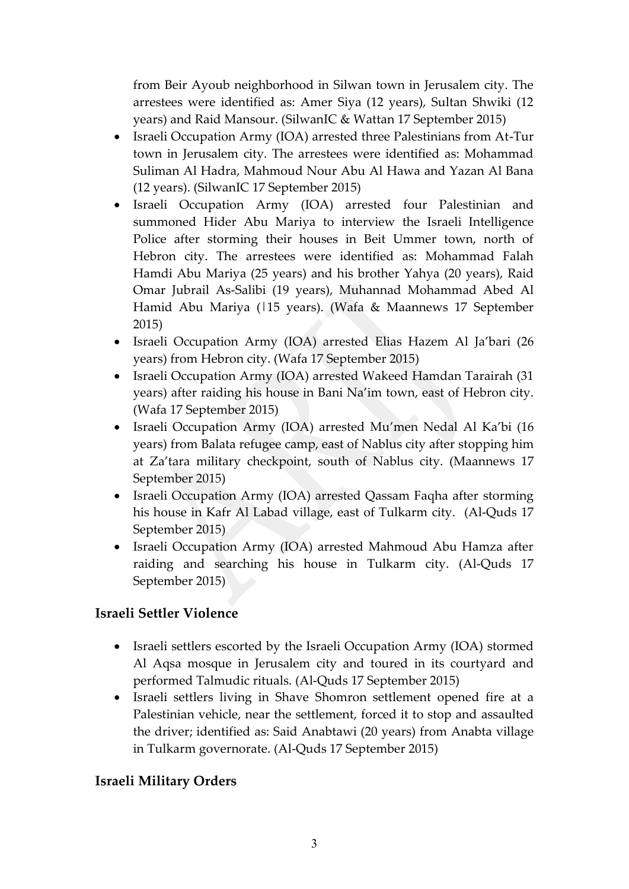from Beir Ayoub neighborhood in Silwan town in Jerusalem city. The arrestees were identified as: Amer Siya (12 years), Sultan Shwiki (12 years) and Raid Mansour. (SilwanIC & Wattan 17 September 2015)

- Israeli Occupation Army (IOA) arrested three Palestinians from At-Tur town in Jerusalem city. The arrestees were identified as: Mohammad Suliman Al Hadra, Mahmoud Nour Abu Al Hawa and Yazan Al Bana (12 years). (SilwanIC 17 September 2015)
- Israeli Occupation Army (IOA) arrested four Palestinian and summoned Hider Abu Mariya to interview the Israeli Intelligence Police after storming their houses in Beit Ummer town, north of Hebron city. The arrestees were identified as: Mohammad Falah Hamdi Abu Mariya (25 years) and his brother Yahya (20 years), Raid Omar Jubrail As-Salibi (19 years), Muhannad Mohammad Abed Al Hamid Abu Mariya (115 years). (Wafa & Maannews 17 September 2015)
- Israeli Occupation Army (IOA) arrested Elias Hazem Al Ja'bari (26 years) from Hebron city. (Wafa 17 September 2015)
- Israeli Occupation Army (IOA) arrested Wakeed Hamdan Tarairah (31 years) after raiding his house in Bani Na'im town, east of Hebron city. (Wafa 17 September 2015)
- Israeli Occupation Army (IOA) arrested Mu'men Nedal Al Ka'bi (16 years) from Balata refugee camp, east of Nablus city after stopping him at Za'tara military checkpoint, south of Nablus city. (Maannews 17 September 2015)
- Israeli Occupation Army (IOA) arrested Qassam Faqha after storming his house in Kafr Al Labad village, east of Tulkarm city. (Al-Quds 17 September 2015)
- Israeli Occupation Army (IOA) arrested Mahmoud Abu Hamza after raiding and searching his house in Tulkarm city. (Al-Quds 17 September 2015)

## **Israeli Settler Violence**

- Israeli settlers escorted by the Israeli Occupation Army (IOA) stormed Al Aqsa mosque in Jerusalem city and toured in its courtyard and performed Talmudic rituals. (Al-Quds 17 September 2015)
- Israeli settlers living in Shave Shomron settlement opened fire at a Palestinian vehicle, near the settlement, forced it to stop and assaulted the driver; identified as: Said Anabtawi (20 years) from Anabta village in Tulkarm governorate. (Al-Quds 17 September 2015)

#### **Israeli Military Orders**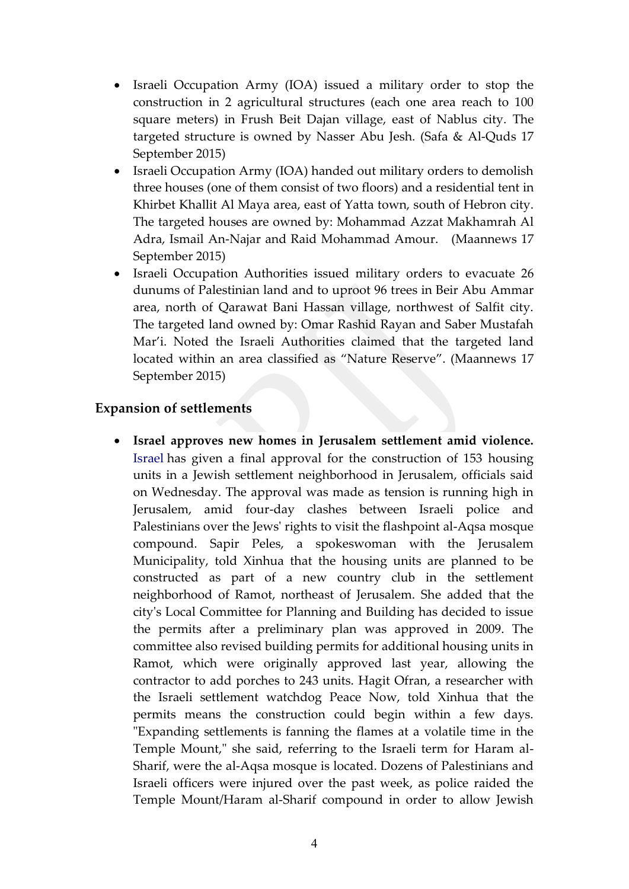- Israeli Occupation Army (IOA) issued a military order to stop the construction in 2 agricultural structures (each one area reach to 100 square meters) in Frush Beit Dajan village, east of Nablus city. The targeted structure is owned by Nasser Abu Jesh. (Safa & Al-Quds 17 September 2015)
- Israeli Occupation Army (IOA) handed out military orders to demolish three houses (one of them consist of two floors) and a residential tent in Khirbet Khallit Al Maya area, east of Yatta town, south of Hebron city. The targeted houses are owned by: Mohammad Azzat Makhamrah Al Adra, Ismail An-Najar and Raid Mohammad Amour. (Maannews 17 September 2015)
- Israeli Occupation Authorities issued military orders to evacuate 26 dunums of Palestinian land and to uproot 96 trees in Beir Abu Ammar area, north of Qarawat Bani Hassan village, northwest of Salfit city. The targeted land owned by: Omar Rashid Rayan and Saber Mustafah Mar'i. Noted the Israeli Authorities claimed that the targeted land located within an area classified as "Nature Reserve". (Maannews 17 September 2015)

#### **Expansion of settlements**

 **Israel approves new homes in Jerusalem settlement amid violence.**  [Israel](http://search.news.cn/language/search.jspa?id=en&t1=0&t=1&ss=&btn=0&ct=Yemen&n1=Israel&np=content) has given a final approval for the construction of 153 housing units in a Jewish settlement neighborhood in Jerusalem, officials said on Wednesday. The approval was made as tension is running high in Jerusalem, amid four-day clashes between Israeli police and Palestinians over the Jews' rights to visit the flashpoint al-Aqsa mosque compound. Sapir Peles, a spokeswoman with the Jerusalem Municipality, told Xinhua that the housing units are planned to be constructed as part of a new country club in the settlement neighborhood of Ramot, northeast of Jerusalem. She added that the city's Local Committee for Planning and Building has decided to issue the permits after a preliminary plan was approved in 2009. The committee also revised building permits for additional housing units in Ramot, which were originally approved last year, allowing the contractor to add porches to 243 units. Hagit Ofran, a researcher with the Israeli settlement watchdog Peace Now, told Xinhua that the permits means the construction could begin within a few days. "Expanding settlements is fanning the flames at a volatile time in the Temple Mount," she said, referring to the Israeli term for Haram al-Sharif, were the al-Aqsa mosque is located. Dozens of Palestinians and Israeli officers were injured over the past week, as police raided the Temple Mount/Haram al-Sharif compound in order to allow Jewish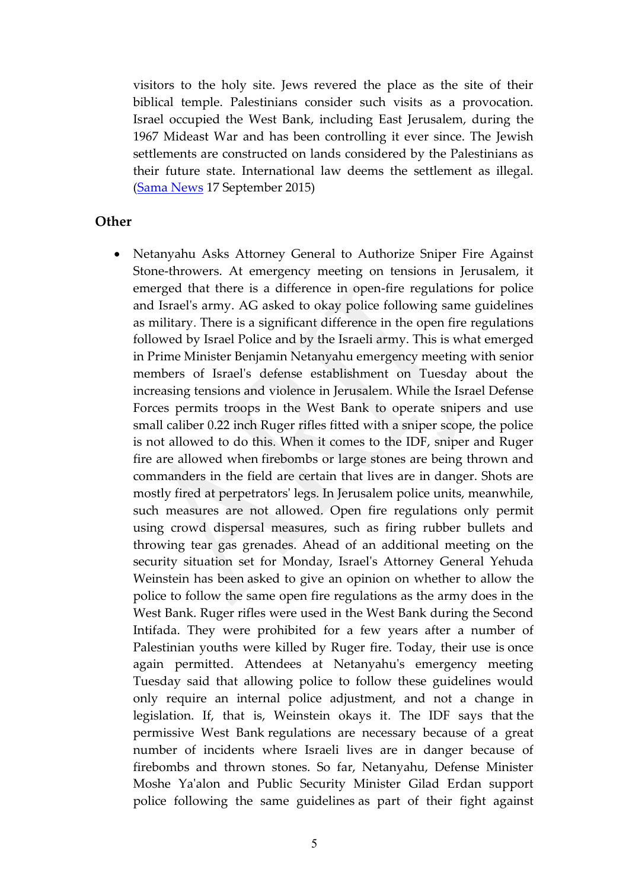visitors to the holy site. Jews revered the place as the site of their biblical temple. Palestinians consider such visits as a provocation. Israel occupied the West Bank, including East Jerusalem, during the 1967 Mideast War and has been controlling it ever since. The Jewish settlements are constructed on lands considered by the Palestinians as their future state. International law deems the settlement as illegal. [\(Sama News](http://news.xinhuanet.com/english/2015-09/17/c_134631018.htm) 17 September 2015)

#### **Other**

• Netanyahu Asks Attorney General to Authorize Sniper Fire Against Stone-throwers. At emergency meeting on tensions in Jerusalem, it emerged that there is a difference in open-fire regulations for police and Israel's army. AG asked to okay police following same guidelines as military. There is a significant difference in the open fire regulations followed by Israel Police and by the Israeli army. This is what emerged in Prime Minister Benjamin Netanyahu emergency meeting with senior members of Israel's defense establishment on Tuesday about the increasing tensions and violence in Jerusalem. While the Israel Defense Forces permits troops in the West Bank to operate snipers and use small caliber 0.22 inch Ruger rifles fitted with a sniper scope, the police is not allowed to do this. When it comes to the IDF, sniper and Ruger fire are allowed when firebombs or large stones are being thrown and commanders in the field are certain that lives are in danger. Shots are mostly fired at perpetrators' legs. In Jerusalem police units, meanwhile, such measures are not allowed. Open fire regulations only permit using crowd dispersal measures, such as firing rubber bullets and throwing tear gas grenades. Ahead of an additional meeting on the security situation set for Monday, Israel's Attorney General Yehuda Weinstein has been asked to give an opinion on whether to allow the police to follow the same open fire regulations as the army does in the West Bank. Ruger rifles were used in the West Bank during the Second Intifada. They were prohibited for a few years after a number of Palestinian youths were killed by Ruger fire. Today, their use is once again permitted. Attendees at Netanyahu's emergency meeting Tuesday said that allowing police to follow these guidelines would only require an internal police adjustment, and not a change in legislation. If, that is, Weinstein okays it. The IDF says that the permissive West Bank regulations are necessary because of a great number of incidents where Israeli lives are in danger because of firebombs and thrown stones. So far, Netanyahu, Defense Minister Moshe Ya'alon and Public Security Minister Gilad Erdan support police following the same guidelines as part of their fight against